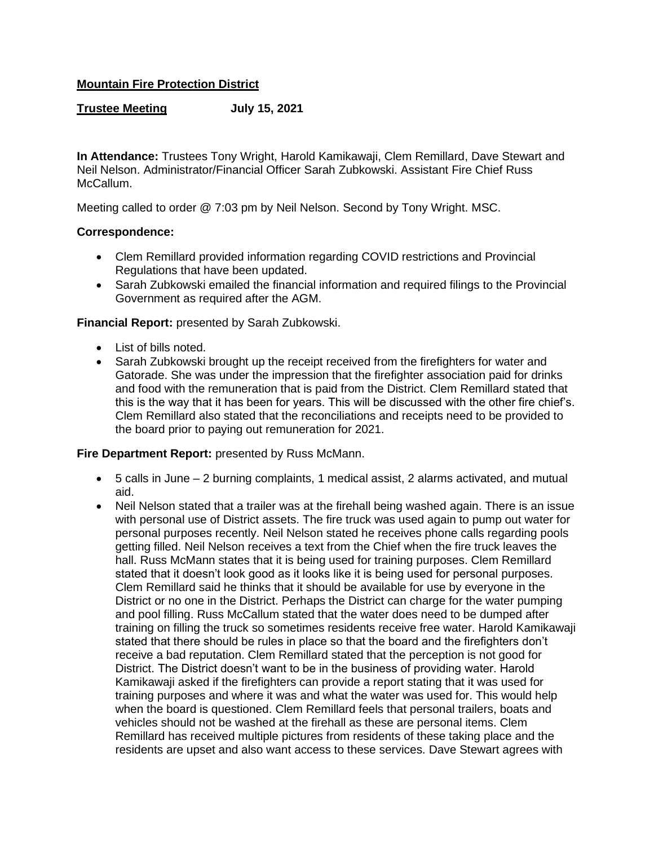## **Mountain Fire Protection District**

### **Trustee Meeting July 15, 2021**

**In Attendance:** Trustees Tony Wright, Harold Kamikawaji, Clem Remillard, Dave Stewart and Neil Nelson. Administrator/Financial Officer Sarah Zubkowski. Assistant Fire Chief Russ McCallum.

Meeting called to order @ 7:03 pm by Neil Nelson. Second by Tony Wright. MSC.

### **Correspondence:**

- Clem Remillard provided information regarding COVID restrictions and Provincial Regulations that have been updated.
- Sarah Zubkowski emailed the financial information and required filings to the Provincial Government as required after the AGM.

#### **Financial Report:** presented by Sarah Zubkowski.

- List of bills noted.
- Sarah Zubkowski brought up the receipt received from the firefighters for water and Gatorade. She was under the impression that the firefighter association paid for drinks and food with the remuneration that is paid from the District. Clem Remillard stated that this is the way that it has been for years. This will be discussed with the other fire chief's. Clem Remillard also stated that the reconciliations and receipts need to be provided to the board prior to paying out remuneration for 2021.

### **Fire Department Report:** presented by Russ McMann.

- $\bullet$  5 calls in June 2 burning complaints, 1 medical assist, 2 alarms activated, and mutual aid.
- Neil Nelson stated that a trailer was at the firehall being washed again. There is an issue with personal use of District assets. The fire truck was used again to pump out water for personal purposes recently. Neil Nelson stated he receives phone calls regarding pools getting filled. Neil Nelson receives a text from the Chief when the fire truck leaves the hall. Russ McMann states that it is being used for training purposes. Clem Remillard stated that it doesn't look good as it looks like it is being used for personal purposes. Clem Remillard said he thinks that it should be available for use by everyone in the District or no one in the District. Perhaps the District can charge for the water pumping and pool filling. Russ McCallum stated that the water does need to be dumped after training on filling the truck so sometimes residents receive free water. Harold Kamikawaji stated that there should be rules in place so that the board and the firefighters don't receive a bad reputation. Clem Remillard stated that the perception is not good for District. The District doesn't want to be in the business of providing water. Harold Kamikawaji asked if the firefighters can provide a report stating that it was used for training purposes and where it was and what the water was used for. This would help when the board is questioned. Clem Remillard feels that personal trailers, boats and vehicles should not be washed at the firehall as these are personal items. Clem Remillard has received multiple pictures from residents of these taking place and the residents are upset and also want access to these services. Dave Stewart agrees with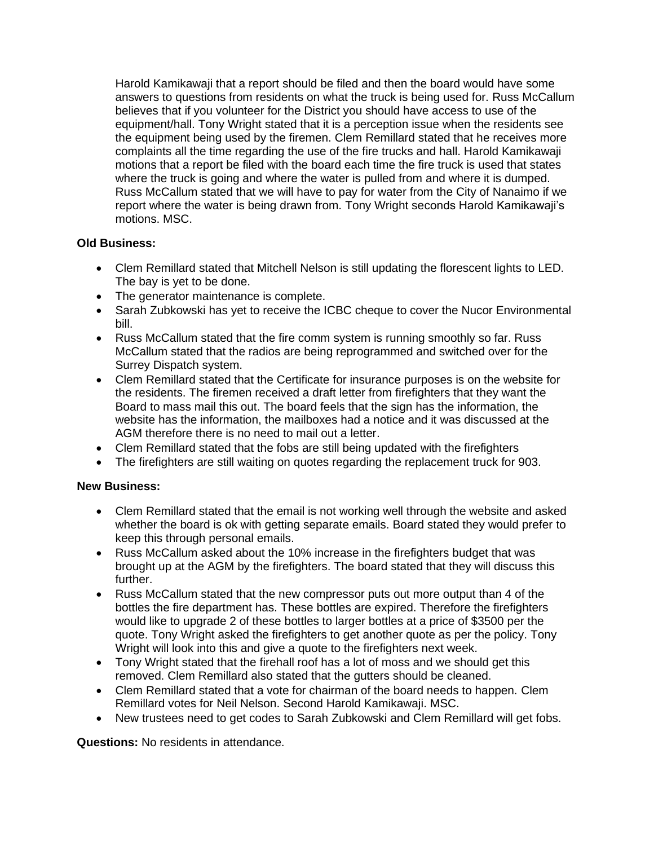Harold Kamikawaji that a report should be filed and then the board would have some answers to questions from residents on what the truck is being used for. Russ McCallum believes that if you volunteer for the District you should have access to use of the equipment/hall. Tony Wright stated that it is a perception issue when the residents see the equipment being used by the firemen. Clem Remillard stated that he receives more complaints all the time regarding the use of the fire trucks and hall. Harold Kamikawaji motions that a report be filed with the board each time the fire truck is used that states where the truck is going and where the water is pulled from and where it is dumped. Russ McCallum stated that we will have to pay for water from the City of Nanaimo if we report where the water is being drawn from. Tony Wright seconds Harold Kamikawaji's motions. MSC.

# **Old Business:**

- Clem Remillard stated that Mitchell Nelson is still updating the florescent lights to LED. The bay is yet to be done.
- The generator maintenance is complete.
- Sarah Zubkowski has yet to receive the ICBC cheque to cover the Nucor Environmental bill.
- Russ McCallum stated that the fire comm system is running smoothly so far. Russ McCallum stated that the radios are being reprogrammed and switched over for the Surrey Dispatch system.
- Clem Remillard stated that the Certificate for insurance purposes is on the website for the residents. The firemen received a draft letter from firefighters that they want the Board to mass mail this out. The board feels that the sign has the information, the website has the information, the mailboxes had a notice and it was discussed at the AGM therefore there is no need to mail out a letter.
- Clem Remillard stated that the fobs are still being updated with the firefighters
- The firefighters are still waiting on quotes regarding the replacement truck for 903.

## **New Business:**

- Clem Remillard stated that the email is not working well through the website and asked whether the board is ok with getting separate emails. Board stated they would prefer to keep this through personal emails.
- Russ McCallum asked about the 10% increase in the firefighters budget that was brought up at the AGM by the firefighters. The board stated that they will discuss this further.
- Russ McCallum stated that the new compressor puts out more output than 4 of the bottles the fire department has. These bottles are expired. Therefore the firefighters would like to upgrade 2 of these bottles to larger bottles at a price of \$3500 per the quote. Tony Wright asked the firefighters to get another quote as per the policy. Tony Wright will look into this and give a quote to the firefighters next week.
- Tony Wright stated that the firehall roof has a lot of moss and we should get this removed. Clem Remillard also stated that the gutters should be cleaned.
- Clem Remillard stated that a vote for chairman of the board needs to happen. Clem Remillard votes for Neil Nelson. Second Harold Kamikawaji. MSC.
- New trustees need to get codes to Sarah Zubkowski and Clem Remillard will get fobs.

**Questions:** No residents in attendance.